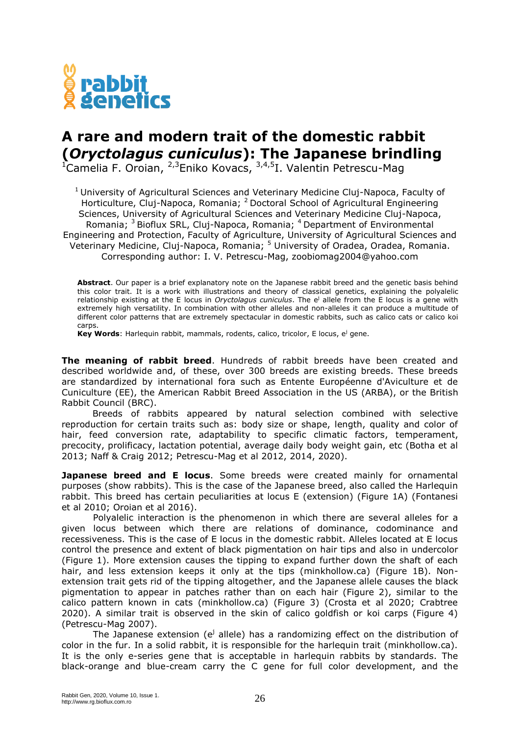

## **A rare and modern trait of the domestic rabbit (***Oryctolagus cuniculus***): The Japanese brindling**

 $^{1}$ Camelia F. Oroian,  $^{2,3}$ Eniko Kovacs,  $^{3,4,5}$ I. Valentin Petrescu-Mag

<sup>1</sup> University of Agricultural Sciences and Veterinary Medicine Cluj-Napoca, Faculty of Horticulture, Cluj-Napoca, Romania; <sup>2</sup> Doctoral School of Agricultural Engineering Sciences, University of Agricultural Sciences and Veterinary Medicine Cluj-Napoca, Romania; <sup>3</sup> Bioflux SRL, Cluj-Napoca, Romania; <sup>4</sup> Department of Environmental Engineering and Protection, Faculty of Agriculture, University of Agricultural Sciences and Veterinary Medicine, Cluj-Napoca, Romania; <sup>5</sup> University of Oradea, Oradea, Romania. Corresponding author: I. V. Petrescu-Mag, zoobiomag2004@yahoo.com

**Abstract**. Our paper is a brief explanatory note on the Japanese rabbit breed and the genetic basis behind this color trait. It is a work with illustrations and theory of classical genetics, explaining the polyalelic relationship existing at the E locus in *Oryctolagus cuniculus*. The e<sup>j</sup> allele from the E locus is a gene with extremely high versatility. In combination with other alleles and non-alleles it can produce a multitude of different color patterns that are extremely spectacular in domestic rabbits, such as calico cats or calico koi carps.

**Key Words**: Harlequin rabbit, mammals, rodents, calico, tricolor, E locus, e<sup>j</sup> gene.

**The meaning of rabbit breed**. Hundreds of rabbit breeds have been created and described worldwide and, of these, over 300 breeds are existing breeds. These breeds are standardized by international fora such as Entente Européenne d'Aviculture et de Cuniculture (EE), the American Rabbit Breed Association in the US (ARBA), or the British Rabbit Council (BRC).

Breeds of rabbits appeared by natural selection combined with selective reproduction for certain traits such as: body size or shape, length, quality and color of hair, feed conversion rate, adaptability to specific climatic factors, temperament, precocity, prolificacy, lactation potential, average daily body weight gain, etc (Botha et al 2013; Naff & Craig 2012; Petrescu-Mag et al 2012, 2014, 2020).

**Japanese breed and E locus**. Some breeds were created mainly for ornamental purposes (show rabbits). This is the case of the Japanese breed, also called the Harlequin rabbit. This breed has certain peculiarities at locus E (extension) (Figure 1A) (Fontanesi et al 2010; Oroian et al 2016).

Polyalelic interaction is the phenomenon in which there are several alleles for a given locus between which there are relations of dominance, codominance and recessiveness. This is the case of E locus in the domestic rabbit. Alleles located at E locus control the presence and extent of black pigmentation on hair tips and also in undercolor (Figure 1). More extension causes the tipping to expand further down the shaft of each hair, and less extension keeps it only at the tips (minkhollow.ca) (Figure 1B). Nonextension trait gets rid of the tipping altogether, and the Japanese allele causes the black pigmentation to appear in patches rather than on each hair (Figure 2), similar to the calico pattern known in cats (minkhollow.ca) (Figure 3) (Crosta et al 2020; Crabtree 2020). A similar trait is observed in the skin of calico goldfish or koi carps (Figure 4) (Petrescu-Mag 2007).

The Japanese extension (e<sup>j</sup> allele) has a randomizing effect on the distribution of color in the fur. In a solid rabbit, it is responsible for the harlequin trait (minkhollow.ca). It is the only e-series gene that is acceptable in harlequin rabbits by standards. The black-orange and blue-cream carry the C gene for full color development, and the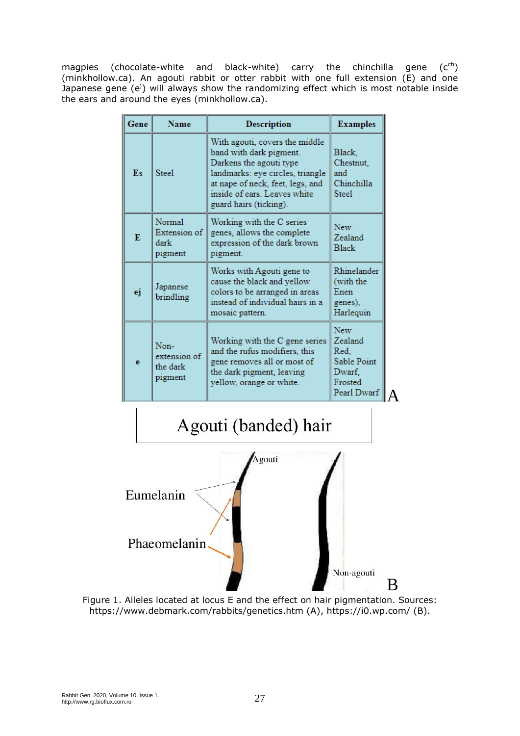magpies (chocolate-white and black-white) carry the chinchilla gene  $(c<sup>ch</sup>)$ (minkhollow.ca). An agouti rabbit or otter rabbit with one full extension (E) and one Japanese gene (e<sup>j</sup>) will always show the randomizing effect which is most notable inside the ears and around the eyes (minkhollow.ca).

| Gene | <b>Name</b>                                 | <b>Description</b>                                                                                                                                                                                                     | <b>Examples</b>                                                                  |
|------|---------------------------------------------|------------------------------------------------------------------------------------------------------------------------------------------------------------------------------------------------------------------------|----------------------------------------------------------------------------------|
| Es   | <b>Steel</b>                                | With agouti, covers the middle<br>band with dark pigment.<br>Darkens the agouti type<br>landmarks: eye circles, triangle<br>at nape of neck, feet, legs, and<br>inside of ears. Leaves white<br>guard hairs (ticking). | Black,<br>Chestnut,<br>and<br>Chinchilla<br><b>Steel</b>                         |
| Е    | Normal<br>Extension of I<br>dark<br>pigment | Working with the C series<br>genes, allows the complete<br>expression of the dark brown<br>pigment.                                                                                                                    | <b>New</b><br>Zealand<br><b>Black</b>                                            |
| ej   | Japanese<br>brindling                       | Works with Agouti gene to<br>cause the black and yellow<br>colors to be arranged in areas<br>instead of individual hairs in a<br>mosaic pattern.                                                                       | Rhinelander<br>(with the<br>Enen<br>genes),<br>Harlequin                         |
| e    | Non-<br>extension of<br>the dark<br>pigment | Working with the C gene series<br>and the rufus modifiers, this<br>gene removes all or most of<br>the dark pigment, leaving<br>yellow, orange or white.                                                                | <b>New</b><br>Zealand<br>Red.<br>Sable Point<br>Dwarf,<br>Frosted<br>Pearl Dwarf |



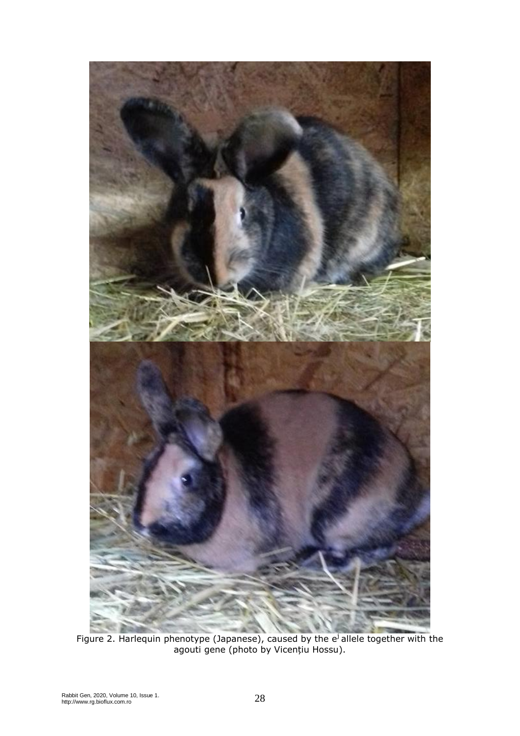

Figure 2. Harlequin phenotype (Japanese), caused by the  $e^{j}$  allele together with the agouti gene (photo by Vicențiu Hossu).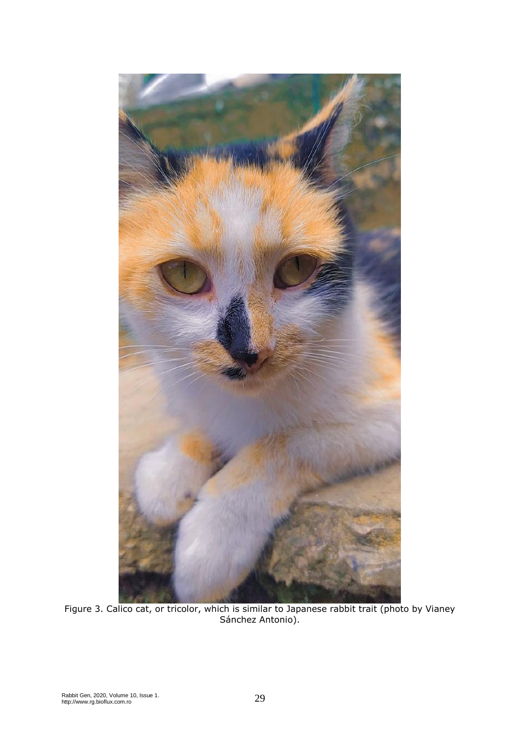

Figure 3. Calico cat, or tricolor, which is similar to Japanese rabbit trait (photo by Vianey Sánchez Antonio).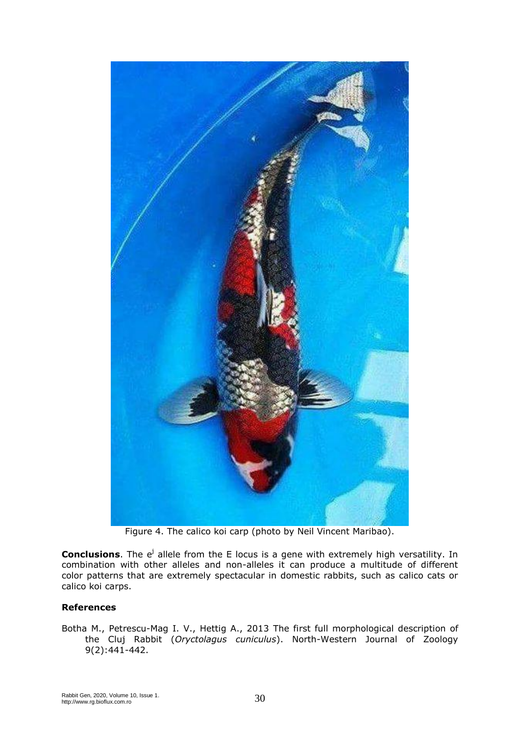

Figure 4. The calico koi carp (photo by Neil Vincent Maribao).

**Conclusions**. The e<sup>j</sup> allele from the E locus is a gene with extremely high versatility. In combination with other alleles and non-alleles it can produce a multitude of different color patterns that are extremely spectacular in domestic rabbits, such as calico cats or calico koi carps.

## **References**

Botha M., Petrescu-Mag I. V., Hettig A., 2013 The first full morphological description of the Cluj Rabbit (*Oryctolagus cuniculus*). North-Western Journal of Zoology 9(2):441-442.